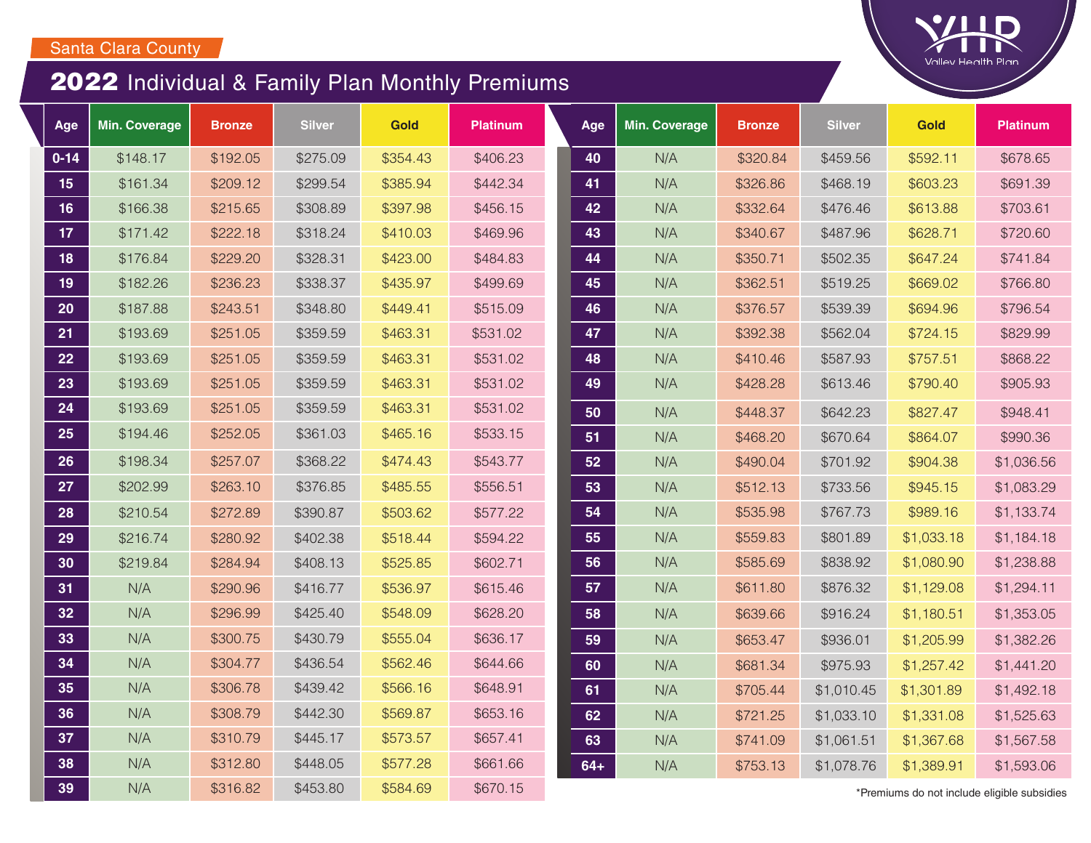## 2022 Individual & Family Plan Monthly Premiums

| Age             | <b>Min. Coverage</b> | <b>Bronze</b> | <b>Silver</b> | Gold     | <b>Platinum</b> | Age   | <b>Min. Coverage</b> | <b>Bronze</b> | <b>Silver</b> | <b>Gold</b>                                | <b>Platinum</b> |
|-----------------|----------------------|---------------|---------------|----------|-----------------|-------|----------------------|---------------|---------------|--------------------------------------------|-----------------|
| $0 - 14$        | \$148.17             | \$192.05      | \$275.09      | \$354.43 | \$406.23        | 40    | N/A                  | \$320.84      | \$459.56      | \$592.11                                   | \$678.65        |
| 15              | \$161.34             | \$209.12      | \$299.54      | \$385.94 | \$442.34        | 41    | N/A                  | \$326.86      | \$468.19      | \$603.23                                   | \$691.39        |
| 16              | \$166.38             | \$215.65      | \$308.89      | \$397.98 | \$456.15        | 42    | N/A                  | \$332.64      | \$476.46      | \$613.88                                   | \$703.61        |
| 17 <sub>2</sub> | \$171.42             | \$222.18      | \$318.24      | \$410.03 | \$469.96        | 43    | N/A                  | \$340.67      | \$487.96      | \$628.71                                   | \$720.60        |
| 18              | \$176.84             | \$229.20      | \$328.31      | \$423.00 | \$484.83        | 44    | N/A                  | \$350.71      | \$502.35      | \$647.24                                   | \$741.84        |
| 19              | \$182.26             | \$236.23      | \$338.37      | \$435.97 | \$499.69        | 45    | N/A                  | \$362.51      | \$519.25      | \$669.02                                   | \$766.80        |
| 20              | \$187.88             | \$243.51      | \$348.80      | \$449.41 | \$515.09        | 46    | N/A                  | \$376.57      | \$539.39      | \$694.96                                   | \$796.54        |
| 21              | \$193.69             | \$251.05      | \$359.59      | \$463.31 | \$531.02        | 47    | N/A                  | \$392.38      | \$562.04      | \$724.15                                   | \$829.99        |
| 22              | \$193.69             | \$251.05      | \$359.59      | \$463.31 | \$531.02        | 48    | N/A                  | \$410.46      | \$587.93      | \$757.51                                   | \$868.22        |
| 23              | \$193.69             | \$251.05      | \$359.59      | \$463.31 | \$531.02        | 49    | N/A                  | \$428.28      | \$613.46      | \$790.40                                   | \$905.93        |
| 24              | \$193.69             | \$251.05      | \$359.59      | \$463.31 | \$531.02        | 50    | N/A                  | \$448.37      | \$642.23      | \$827.47                                   | \$948.41        |
| 25              | \$194.46             | \$252.05      | \$361.03      | \$465.16 | \$533.15        | 51    | N/A                  | \$468.20      | \$670.64      | \$864.07                                   | \$990.36        |
| 26              | \$198.34             | \$257.07      | \$368.22      | \$474.43 | \$543.77        | 52    | N/A                  | \$490.04      | \$701.92      | \$904.38                                   | \$1,036.56      |
| 27              | \$202.99             | \$263.10      | \$376.85      | \$485.55 | \$556.51        | 53    | N/A                  | \$512.13      | \$733.56      | \$945.15                                   | \$1,083.29      |
| 28              | \$210.54             | \$272.89      | \$390.87      | \$503.62 | \$577.22        | 54    | N/A                  | \$535.98      | \$767.73      | \$989.16                                   | \$1,133.74      |
| 29              | \$216.74             | \$280.92      | \$402.38      | \$518.44 | \$594.22        | 55    | N/A                  | \$559.83      | \$801.89      | \$1,033.18                                 | \$1,184.18      |
| 30              | \$219.84             | \$284.94      | \$408.13      | \$525.85 | \$602.71        | 56    | N/A                  | \$585.69      | \$838.92      | \$1,080.90                                 | \$1,238.88      |
| 31              | N/A                  | \$290.96      | \$416.77      | \$536.97 | \$615.46        | 57    | N/A                  | \$611.80      | \$876.32      | \$1,129.08                                 | \$1,294.11      |
| 32              | N/A                  | \$296.99      | \$425.40      | \$548.09 | \$628.20        | 58    | N/A                  | \$639.66      | \$916.24      | \$1,180.51                                 | \$1,353.05      |
| 33              | N/A                  | \$300.75      | \$430.79      | \$555.04 | \$636.17        | 59    | N/A                  | \$653.47      | \$936.01      | \$1,205.99                                 | \$1,382.26      |
| 34              | N/A                  | \$304.77      | \$436.54      | \$562.46 | \$644.66        | 60    | N/A                  | \$681.34      | \$975.93      | \$1,257.42                                 | \$1,441.20      |
| 35              | N/A                  | \$306.78      | \$439.42      | \$566.16 | \$648.91        | 61    | N/A                  | \$705.44      | \$1,010.45    | \$1,301.89                                 | \$1,492.18      |
| 36              | N/A                  | \$308.79      | \$442.30      | \$569.87 | \$653.16        | 62    | N/A                  | \$721.25      | \$1,033.10    | \$1,331.08                                 | \$1,525.63      |
| 37              | N/A                  | \$310.79      | \$445.17      | \$573.57 | \$657.41        | 63    | N/A                  | \$741.09      | \$1,061.51    | \$1,367.68                                 | \$1,567.58      |
| 38              | N/A                  | \$312.80      | \$448.05      | \$577.28 | \$661.66        | $64+$ | N/A                  | \$753.13      | \$1,078.76    | \$1,389.91                                 | \$1,593.06      |
| 39              | N/A                  | \$316.82      | \$453.80      | \$584.69 | \$670.15        |       |                      |               |               | *Premiums do not include eligible subsidie |                 |

**Valley Health Plan**